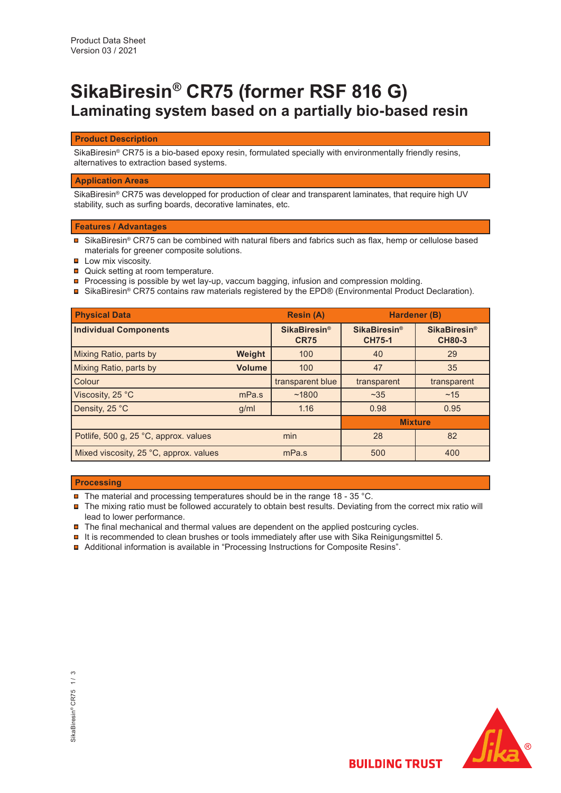# **SikaBiresin® CR75 (former RSF 816 G) Laminating system based on a partially bio-based resin**

## **Product Description**

SikaBiresin® CR75 is a bio-based epoxy resin, formulated specially with environmentally friendly resins, alternatives to extraction based systems.

## **Application Areas**

SikaBiresin® CR75 was developped for production of clear and transparent laminates, that require high UV stability, such as surfing boards, decorative laminates, etc.

# **Features / Advantages**

- SikaBiresin® CR75 can be combined with natural fibers and fabrics such as flax, hemp or cellulose based materials for greener composite solutions.
- $\blacksquare$  Low mix viscosity.
- **□** Quick setting at room temperature.
- Processing is possible by wet lay-up, vaccum bagging, infusion and compression molding.
- SikaBiresin® CR75 contains raw materials registered by the EPD® (Environmental Product Declaration).

| <b>Physical Data</b>                   |               | <b>Resin (A)</b>                              | Hardener (B)                                    |                                                 |
|----------------------------------------|---------------|-----------------------------------------------|-------------------------------------------------|-------------------------------------------------|
| <b>Individual Components</b>           |               | <b>SikaBiresin<sup>®</sup></b><br><b>CR75</b> | <b>SikaBiresin<sup>®</sup></b><br><b>CH75-1</b> | <b>SikaBiresin<sup>®</sup></b><br><b>CH80-3</b> |
| Mixing Ratio, parts by                 | Weight        | 100                                           | 40                                              | 29                                              |
| Mixing Ratio, parts by                 | <b>Volume</b> | 100                                           | 47                                              | 35                                              |
| Colour                                 |               | transparent blue                              | transparent                                     | transparent                                     |
| Viscosity, 25 °C                       | mPa.s         | ~1800                                         | ~235                                            | ~15                                             |
| Density, 25 °C                         | g/ml          | 1.16                                          | 0.98                                            | 0.95                                            |
|                                        |               |                                               | <b>Mixture</b>                                  |                                                 |
| Potlife, 500 g, 25 °C, approx. values  | min           |                                               | 28                                              | 82                                              |
| Mixed viscosity, 25 °C, approx. values | mPa.s         |                                               | 500                                             | 400                                             |

# **Processing**

- $\blacksquare$ The material and processing temperatures should be in the range 18 - 35 °C.
- $\blacksquare$  The mixing ratio must be followed accurately to obtain best results. Deviating from the correct mix ratio will lead to lower performance.
- The final mechanical and thermal values are dependent on the applied postcuring cycles.
- $\blacksquare$  It is recommended to clean brushes or tools immediately after use with Sika Reinigungsmittel 5.
- Additional information is available in "Processing Instructions for Composite Resins".

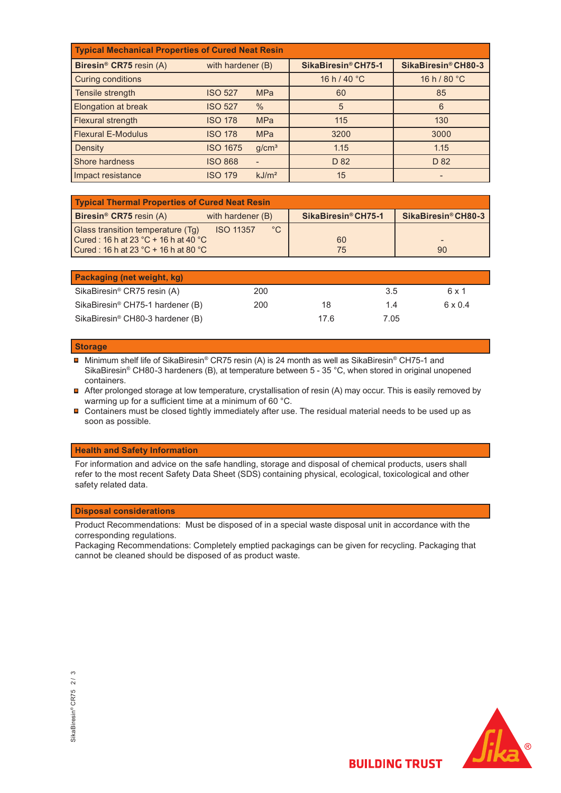| <b>Typical Mechanical Properties of Cured Neat Resin</b> |                   |                   |                        |                     |  |  |  |  |
|----------------------------------------------------------|-------------------|-------------------|------------------------|---------------------|--|--|--|--|
| Biresin <sup>®</sup> CR75 resin (A)                      | with hardener (B) |                   | SikaBiresin® CH75-1    | SikaBiresin® CH80-3 |  |  |  |  |
| <b>Curing conditions</b>                                 |                   |                   | 16 h / 40 $^{\circ}$ C | 16 h/80 °C          |  |  |  |  |
| Tensile strength                                         | <b>ISO 527</b>    | <b>MPa</b>        | 60                     | 85                  |  |  |  |  |
| <b>Elongation at break</b>                               | <b>ISO 527</b>    | $\frac{0}{0}$     | 5                      | 6                   |  |  |  |  |
| Flexural strength                                        | <b>ISO 178</b>    | <b>MPa</b>        | 115                    | 130                 |  |  |  |  |
| <b>Flexural E-Modulus</b>                                | <b>ISO 178</b>    | <b>MPa</b>        | 3200                   | 3000                |  |  |  |  |
| Density                                                  | <b>ISO 1675</b>   | q/cm <sup>3</sup> | 1.15                   | 1.15                |  |  |  |  |
| Shore hardness                                           | <b>ISO 868</b>    |                   | D <sub>82</sub>        | D 82                |  |  |  |  |
| Impact resistance                                        | <b>ISO 179</b>    | kJ/m <sup>2</sup> | 15                     |                     |  |  |  |  |

| <b>Typical Thermal Properties of Cured Neat Resin</b>                       |                     |                     |  |  |  |  |  |
|-----------------------------------------------------------------------------|---------------------|---------------------|--|--|--|--|--|
| <b>Biresin<sup>®</sup> CR75</b> resin $(A)$<br>with hardener (B)            | SikaBiresin® CH75-1 | SikaBiresin® CH80-3 |  |  |  |  |  |
| $^{\circ}C$<br><b>Glass transition temperature (Tg)</b><br><b>ISO 11357</b> |                     |                     |  |  |  |  |  |
| Cured: 16 h at 23 °C + 16 h at 40 °C                                        | 60                  |                     |  |  |  |  |  |
| Cured: 16 h at 23 °C + 16 h at 80 °C                                        | 75                  | 90                  |  |  |  |  |  |

| Packaging (net weight, kg)                   |     |      |      |         |
|----------------------------------------------|-----|------|------|---------|
| SikaBiresin <sup>®</sup> CR75 resin (A)      | 200 |      | 3.5  | 6 x 1   |
| SikaBiresin <sup>®</sup> CH75-1 hardener (B) | 200 | 18   | 14   | 6 x 0.4 |
| SikaBiresin <sup>®</sup> CH80-3 hardener (B) |     | 17.6 | 7.05 |         |

#### **Storage**

■ Minimum shelf life of SikaBiresin® CR75 resin (A) is 24 month as well as SikaBiresin® CH75-1 and SikaBiresin® CH80-3 hardeners (B), at temperature between 5 - 35 °C, when stored in original unopened containers.

■ After prolonged storage at low temperature, crystallisation of resin (A) may occur. This is easily removed by warming up for a sufficient time at a minimum of 60 °C.

 Containers must be closed tightly immediately after use. The residual material needs to be used up as soon as possible.

### **Health and Safety Information**

For information and advice on the safe handling, storage and disposal of chemical products, users shall refer to the most recent Safety Data Sheet (SDS) containing physical, ecological, toxicological and other safety related data.

## **Disposal considerations**

Product Recommendations: Must be disposed of in a special waste disposal unit in accordance with the corresponding regulations.

Packaging Recommendations: Completely emptied packagings can be given for recycling. Packaging that cannot be cleaned should be disposed of as product waste.